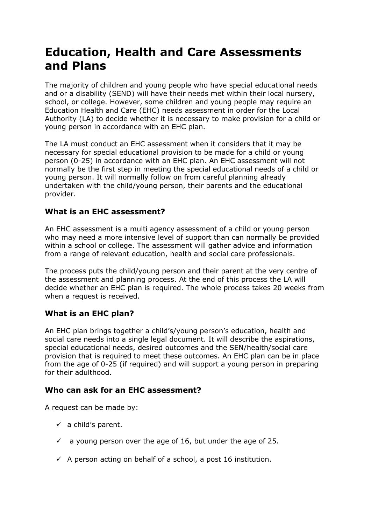# **Education, Health and Care Assessments and Plans**

The majority of children and young people who have special educational needs and or a disability (SEND) will have their needs met within their local nursery, school, or college. However, some children and young people may require an Education Health and Care (EHC) needs assessment in order for the Local Authority (LA) to decide whether it is necessary to make provision for a child or young person in accordance with an EHC plan.

The LA must conduct an EHC assessment when it considers that it may be necessary for special educational provision to be made for a child or young person (0-25) in accordance with an EHC plan. An EHC assessment will not normally be the first step in meeting the special educational needs of a child or young person. It will normally follow on from careful planning already undertaken with the child/young person, their parents and the educational provider.

## **What is an EHC assessment?**

An EHC assessment is a multi agency assessment of a child or young person who may need a more intensive level of support than can normally be provided within a school or college. The assessment will gather advice and information from a range of relevant education, health and social care professionals.

The process puts the child/young person and their parent at the very centre of the assessment and planning process. At the end of this process the LA will decide whether an EHC plan is required. The whole process takes 20 weeks from when a request is received.

# **What is an EHC plan?**

An EHC plan brings together a child's/young person's education, health and social care needs into a single legal document. It will describe the aspirations, special educational needs, desired outcomes and the SEN/health/social care provision that is required to meet these outcomes. An EHC plan can be in place from the age of 0-25 (if required) and will support a young person in preparing for their adulthood.

## **Who can ask for an EHC assessment?**

A request can be made by:

- $\checkmark$  a child's parent.
- $\checkmark$  a young person over the age of 16, but under the age of 25.
- $\checkmark$  A person acting on behalf of a school, a post 16 institution.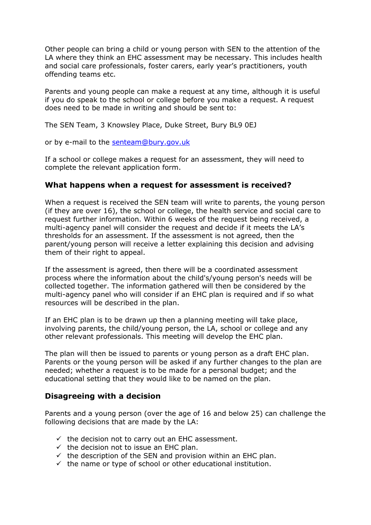Other people can bring a child or young person with SEN to the attention of the LA where they think an EHC assessment may be necessary. This includes health and social care professionals, foster carers, early year's practitioners, youth offending teams etc.

Parents and young people can make a request at any time, although it is useful if you do speak to the school or college before you make a request. A request does need to be made in writing and should be sent to:

The SEN Team, 3 Knowsley Place, Duke Street, Bury BL9 0EJ

or by e-mail to the [senteam@bury.gov.uk](mailto:senteam@bury.gov.uk)

If a school or college makes a request for an assessment, they will need to complete the relevant application form.

#### **What happens when a request for assessment is received?**

When a request is received the SEN team will write to parents, the young person (if they are over 16), the school or college, the health service and social care to request further information. Within 6 weeks of the request being received, a multi-agency panel will consider the request and decide if it meets the LA's thresholds for an assessment. If the assessment is not agreed, then the parent/young person will receive a letter explaining this decision and advising them of their right to appeal.

If the assessment is agreed, then there will be a coordinated assessment process where the information about the child's/young person's needs will be collected together. The information gathered will then be considered by the multi-agency panel who will consider if an EHC plan is required and if so what resources will be described in the plan.

If an EHC plan is to be drawn up then a planning meeting will take place, involving parents, the child/young person, the LA, school or college and any other relevant professionals. This meeting will develop the EHC plan.

The plan will then be issued to parents or young person as a draft EHC plan. Parents or the young person will be asked if any further changes to the plan are needed; whether a request is to be made for a personal budget; and the educational setting that they would like to be named on the plan.

#### **Disagreeing with a decision**

Parents and a young person (over the age of 16 and below 25) can challenge the following decisions that are made by the LA:

- $\checkmark$  the decision not to carry out an EHC assessment.
- $\checkmark$  the decision not to issue an EHC plan.
- $\checkmark$  the description of the SEN and provision within an EHC plan.
- $\checkmark$  the name or type of school or other educational institution.